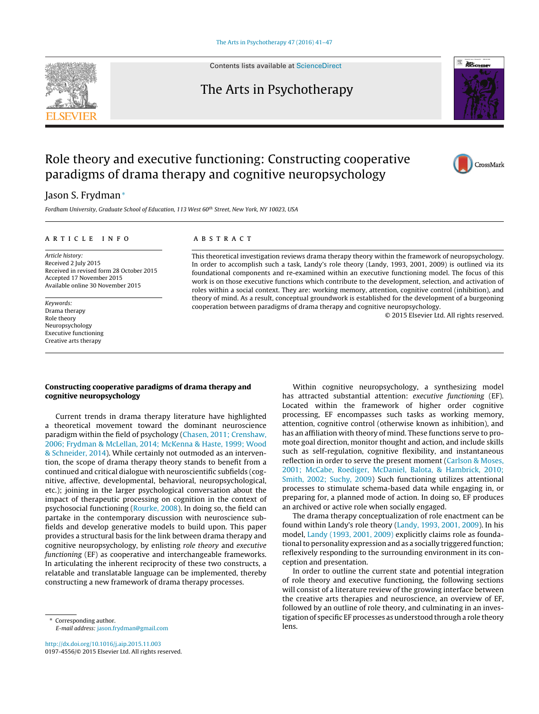

Contents lists available at [ScienceDirect](http://www.sciencedirect.com/science/journal/01974556)

## The Arts in Psychotherapy



CrossMark

# Role theory and executive functioning: Constructing cooperative paradigms of drama therapy and cognitive neuropsychology

### Jason S. Frydman<sup>∗</sup>

Fordham University, Graduate School of Education, 113 West 60<sup>th</sup> Street, New York, NY 10023, USA

#### ARTICLE INFO

Article history: Received 2 July 2015 Received in revised form 28 October 2015 Accepted 17 November 2015 Available online 30 November 2015

Keywords: Drama therapy Role theory Neuropsychology Executive functioning Creative arts therapy

#### a b s t r a c t

This theoretical investigation reviews drama therapy theory within the framework of neuropsychology. In order to accomplish such a task, Landy's role theory (Landy, 1993, 2001, 2009) is outlined via its foundational components and re-examined within an executive functioning model. The focus of this work is on those executive functions which contribute to the development, selection, and activation of roles within a social context. They are: working memory, attention, cognitive control (inhibition), and theory of mind. As a result, conceptual groundwork is established for the development of a burgeoning cooperation between paradigms of drama therapy and cognitive neuropsychology.

© 2015 Elsevier Ltd. All rights reserved.

#### **Constructing cooperative paradigms of drama therapy and cognitive neuropsychology**

Current trends in drama therapy literature have highlighted a theoretical movement toward the dominant neuroscience paradigm within the field of psychology [\(Chasen,](#page--1-0) [2011;](#page--1-0) [Crenshaw,](#page--1-0) [2006;](#page--1-0) [Frydman](#page--1-0) [&](#page--1-0) [McLellan,](#page--1-0) [2014;](#page--1-0) [McKenna](#page--1-0) [&](#page--1-0) [Haste,](#page--1-0) [1999;](#page--1-0) [Wood](#page--1-0) [&](#page--1-0) [Schneider,](#page--1-0) [2014\).](#page--1-0) While certainly not outmoded as an intervention, the scope of drama therapy theory stands to benefit from a continued and critical dialogue with neuroscientific subfields (cognitive, affective, developmental, behavioral, neuropsychological, etc.); joining in the larger psychological conversation about the impact of therapeutic processing on cognition in the context of psychosocial functioning ([Rourke,](#page--1-0) [2008\).](#page--1-0) In doing so, the field can partake in the contemporary discussion with neuroscience subfields and develop generative models to build upon. This paper provides a structural basis for the link between drama therapy and cognitive neuropsychology, by enlisting role theory and executive functioning (EF) as cooperative and interchangeable frameworks. In articulating the inherent reciprocity of these two constructs, a relatable and translatable language can be implemented, thereby constructing a new framework of drama therapy processes.

Within cognitive neuropsychology, a synthesizing model has attracted substantial attention: executive functioning (EF). Located within the framework of higher order cognitive processing, EF encompasses such tasks as working memory, attention, cognitive control (otherwise known as inhibition), and has an affiliation with theory of mind. These functions serve to promote goal direction, monitor thought and action, and include skills such as self-regulation, cognitive flexibility, and instantaneous reflection in order to serve the present moment [\(Carlson](#page--1-0) [&](#page--1-0) [Moses,](#page--1-0) [2001;](#page--1-0) [McCabe,](#page--1-0) [Roediger,](#page--1-0) [McDaniel,](#page--1-0) [Balota,](#page--1-0) [&](#page--1-0) [Hambrick,](#page--1-0) [2010;](#page--1-0) [Smith,](#page--1-0) [2002;](#page--1-0) [Suchy,](#page--1-0) [2009\)](#page--1-0) Such functioning utilizes attentional processes to stimulate schema-based data while engaging in, or preparing for, a planned mode of action. In doing so, EF produces an archived or active role when socially engaged.

The drama therapy conceptualization of role enactment can be found within Landy's role theory ([Landy,](#page--1-0) [1993,](#page--1-0) [2001,](#page--1-0) [2009\).](#page--1-0) In his model, [Landy](#page--1-0) [\(1993,](#page--1-0) [2001,](#page--1-0) [2009\)](#page--1-0) explicitly claims role as foundational to personality expression and as a socially triggered function; reflexively responding to the surrounding environment in its conception and presentation.

In order to outline the current state and potential integration of role theory and executive functioning, the following sections will consist of a literature review of the growing interface between the creative arts therapies and neuroscience, an overview of EF, followed by an outline of role theory, and culminating in an investigation of specific EF processes as understood through a role theory lens.

Corresponding author. E-mail address: [jason.frydman@gmail.com](mailto:jason.frydman@gmail.com)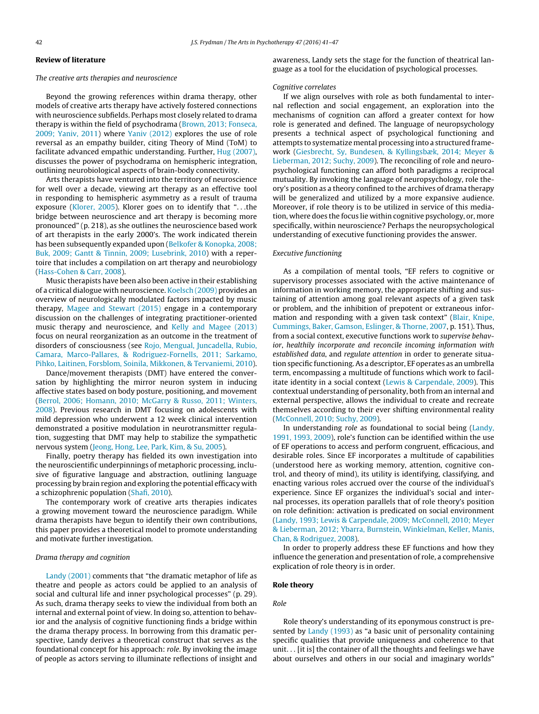#### **Review of literature**

#### The creative arts therapies and neuroscience

Beyond the growing references within drama therapy, other models of creative arts therapy have actively fostered connections with neuroscience subfields. Perhaps most closely related to drama therapy is within the field of psychodrama [\(Brown,](#page--1-0) [2013;](#page--1-0) [Fonseca,](#page--1-0) [2009;](#page--1-0) [Yaniv,](#page--1-0) [2011\)](#page--1-0) where [Yaniv](#page--1-0) [\(2012\)](#page--1-0) explores the use of role reversal as an empathy builder, citing Theory of Mind (ToM) to facilitate advanced empathic understanding. Further, [Hug](#page--1-0) [\(2007\),](#page--1-0) discusses the power of psychodrama on hemispheric integration, outlining neurobiological aspects of brain-body connectivity.

Arts therapists have ventured into the territory of neuroscience for well over a decade, viewing art therapy as an effective tool in responding to hemispheric asymmetry as a result of trauma exposure ([Klorer,](#page--1-0) [2005\).](#page--1-0) Klorer goes on to identify that ". . .the bridge between neuroscience and art therapy is becoming more pronounced" (p. 218), as she outlines the neuroscience based work of art therapists in the early 2000's. The work indicated therein has been subsequently expanded upon [\(Belkofer](#page--1-0) [&](#page--1-0) [Konopka,](#page--1-0) [2008;](#page--1-0) [Buk,](#page--1-0) [2009;](#page--1-0) [Gantt](#page--1-0) [&](#page--1-0) [Tinnin,](#page--1-0) [2009;](#page--1-0) [Lusebrink,](#page--1-0) [2010\)](#page--1-0) with a repertoire that includes a compilation on art therapy and neurobiology ([Hass-Cohen](#page--1-0) [&](#page--1-0) [Carr,](#page--1-0) [2008\).](#page--1-0)

Music therapists have been also been active in their establishing of a critical dialogue with neuroscience. [Koelsch](#page--1-0) [\(2009\)](#page--1-0) provides an overview of neurologically modulated factors impacted by music therapy, [Magee](#page--1-0) [and](#page--1-0) [Stewart](#page--1-0) [\(2015\)](#page--1-0) engage in a contemporary discussion on the challenges of integrating practitioner-oriented music therapy and neuroscience, and [Kelly](#page--1-0) [and](#page--1-0) [Magee](#page--1-0) [\(2013\)](#page--1-0) focus on neural reorganization as an outcome in the treatment of disorders of consciousness (see [Rojo,](#page--1-0) [Mengual,](#page--1-0) [Juncadella,](#page--1-0) [Rubio,](#page--1-0) [Camara,](#page--1-0) [Marco-Pallares,](#page--1-0) [&](#page--1-0) [Rodriguez-Fornells,](#page--1-0) [2011;](#page--1-0) [Sarkamo,](#page--1-0) [Pihko,](#page--1-0) [Laitinen,](#page--1-0) [Forsblom,](#page--1-0) [Soinila,](#page--1-0) [Mikkonen,](#page--1-0) [&](#page--1-0) [Tervaniemi,](#page--1-0) [2010\).](#page--1-0)

Dance/movement therapists (DMT) have entered the conversation by highlighting the mirror neuron system in inducing affective states based on body posture, positioning, and movement ([Berrol,](#page--1-0) [2006;](#page--1-0) [Homann,](#page--1-0) [2010;](#page--1-0) [McGarry](#page--1-0) [&](#page--1-0) [Russo,](#page--1-0) [2011;](#page--1-0) [Winters,](#page--1-0) [2008\).](#page--1-0) Previous research in DMT focusing on adolescents with mild depression who underwent a 12 week clinical intervention demonstrated a positive modulation in neurotransmitter regulation, suggesting that DMT may help to stabilize the sympathetic nervous system ([Jeong,](#page--1-0) [Hong,](#page--1-0) [Lee,](#page--1-0) [Park,](#page--1-0) [Kim,](#page--1-0) [&](#page--1-0) [Su,](#page--1-0) [2005\).](#page--1-0)

Finally, poetry therapy has fielded its own investigation into the neuroscientific underpinnings of metaphoric processing, inclusive of figurative language and abstraction, outlining language processing by brain region and exploring the potential efficacy with a schizophrenic population [\(Shafi,](#page--1-0) [2010\).](#page--1-0)

The contemporary work of creative arts therapies indicates a growing movement toward the neuroscience paradigm. While drama therapists have begun to identify their own contributions, this paper provides a theoretical model to promote understanding and motivate further investigation.

#### Drama therapy and cognition

[Landy](#page--1-0) [\(2001\)](#page--1-0) comments that "the dramatic metaphor of life as theatre and people as actors could be applied to an analysis of social and cultural life and inner psychological processes" (p. 29). As such, drama therapy seeks to view the individual from both an internal and external point of view. In doing so, attention to behavior and the analysis of cognitive functioning finds a bridge within the drama therapy process. In borrowing from this dramatic perspective, Landy derives a theoretical construct that serves as the foundational concept for his approach: role. By invoking the image of people as actors serving to illuminate reflections of insight and

awareness, Landy sets the stage for the function of theatrical language as a tool for the elucidation of psychological processes.

#### Cognitive correlates

If we align ourselves with role as both fundamental to internal reflection and social engagement, an exploration into the mechanisms of cognition can afford a greater context for how role is generated and defined. The language of neuropsychology presents a technical aspect of psychological functioning and attempts to systematize mental processing into a structured framework ([Giesbrecht,](#page--1-0) [Sy,](#page--1-0) [Bundesen,](#page--1-0) [&](#page--1-0) [Kyllingsbæk,](#page--1-0) [2014;](#page--1-0) [Meyer](#page--1-0) [&](#page--1-0) [Lieberman,](#page--1-0) [2012;](#page--1-0) [Suchy,](#page--1-0) [2009\).](#page--1-0) The reconciling of role and neuropsychological functioning can afford both paradigms a reciprocal mutuality. By invoking the language of neuropsychology, role theory's position as a theory confined to the archives of drama therapy will be generalized and utilized by a more expansive audience. Moreover, if role theory is to be utilized in service of this mediation, where does the focus lie within cognitive psychology, or, more specifically, within neuroscience? Perhaps the neuropsychological understanding of executive functioning provides the answer.

#### Executive functioning

As a compilation of mental tools, "EF refers to cognitive or supervisory processes associated with the active maintenance of information in working memory, the appropriate shifting and sustaining of attention among goal relevant aspects of a given task or problem, and the inhibition of prepotent or extraneous information and responding with a given task context" ([Blair,](#page--1-0) [Knipe,](#page--1-0) [Cummings,](#page--1-0) [Baker,](#page--1-0) [Gamson,](#page--1-0) [Eslinger,](#page--1-0) [&](#page--1-0) [Thorne,](#page--1-0) [2007,](#page--1-0) p. 151). Thus, from a social context, executive functions work to supervise behavior, healthily incorporate and reconcile incoming information with established data, and regulate attention in order to generate situation specific functioning. As a descriptor, EF operates as an umbrella term, encompassing a multitude of functions which work to facilitate identity in a social context ([Lewis](#page--1-0) [&](#page--1-0) [Carpendale,](#page--1-0) [2009\).](#page--1-0) This contextual understanding of personality, both from an internal and external perspective, allows the individual to create and recreate themselves according to their ever shifting environmental reality [\(McConnell,](#page--1-0) [2010;](#page--1-0) [Suchy,](#page--1-0) [2009\).](#page--1-0)

In understanding role as foundational to social being [\(Landy,](#page--1-0) [1991,](#page--1-0) [1993,](#page--1-0) [2009\),](#page--1-0) role's function can be identified within the use of EF operations to access and perform congruent, efficacious, and desirable roles. Since EF incorporates a multitude of capabilities (understood here as working memory, attention, cognitive control, and theory of mind), its utility is identifying, classifying, and enacting various roles accrued over the course of the individual's experience. Since EF organizes the individual's social and internal processes, its operation parallels that of role theory's position on role definition: activation is predicated on social environment [\(Landy,](#page--1-0) [1993;](#page--1-0) [Lewis](#page--1-0) [&](#page--1-0) [Carpendale,](#page--1-0) [2009;](#page--1-0) [McConnell,](#page--1-0) [2010;](#page--1-0) [Meyer](#page--1-0) [&](#page--1-0) [Lieberman,](#page--1-0) [2012;](#page--1-0) [Ybarra,](#page--1-0) [Burnstein,](#page--1-0) [Winkielman,](#page--1-0) [Keller,](#page--1-0) [Manis,](#page--1-0) [Chan,](#page--1-0) [&](#page--1-0) [Rodriguez,](#page--1-0) [2008\).](#page--1-0)

In order to properly address these EF functions and how they influence the generation and presentation of role, a comprehensive explication of role theory is in order.

#### **Role theory**

#### Role

Role theory's understanding of its eponymous construct is pre-sented by [Landy](#page--1-0) [\(1993\)](#page--1-0) as "a basic unit of personality containing specific qualities that provide uniqueness and coherence to that unit. . . [it is] the container of all the thoughts and feelings we have about ourselves and others in our social and imaginary worlds"